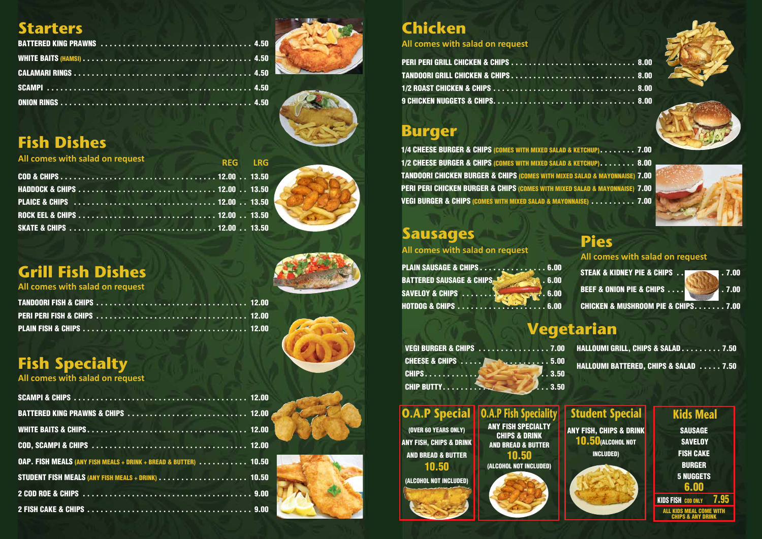## **Starters**





# **Fish Dishes**

| All comes with salad on request<br><b>Example 20 AM REG REG REG REG</b> |  |
|-------------------------------------------------------------------------|--|
|                                                                         |  |
|                                                                         |  |
|                                                                         |  |
|                                                                         |  |
|                                                                         |  |



# **Fish Specialty**

#### STEAK & KIDNEY PIE & CHIPS . . . . . . . . 7.00 **BEEF & ONION PIE & CHIPS . . . . . . . . . . . . . 7.00** CHICKEN & MUSHROOM PIE & CHIPS . . . . . . . 7.00 **All comes with salad on request**

| <b>OAP. FISH MEALS (ANY FISH MEALS + DRINK + BREAD &amp; BUTTER)  10.50</b> |  |
|-----------------------------------------------------------------------------|--|
| <b>STUDENT FISH MEALS (ANY FISH MEALS + DRINK)  10.50</b>                   |  |
|                                                                             |  |
|                                                                             |  |

**ANY FISH, CHIPS & DRINK** 10.50(ALCOHOL NOT INCLUDED)

**SAVELOY** FISH CAKE BURGER 5 NUGGETS 6.00

KIDS FISH COD ONLY 7.95 **ALL KIDS MEAL CO** CHIPS & ANY DRINK

#### **Chicken All comes with salad on request**

PERI PERI GRILL CHICKEN & CHIPS . . . . . . . . . . . . . . . **TANDOORI GRILL CHICKEN & CHIPS . . . . . . . . . . . . . . . 1/2 ROAST CHICKEN & CHIPS . . . . . . . . . . . . . . . . . .** 9 CHICKEN NUGGETS & CHIPS. . . . . . . . . . . . . . . . . .

# **Burger**

1/4 CHEESE BURGER & CHIPS (COMES WITH MIXED SALAD & KETCHUP) . . . . . . . . 7.00 1/2 CHEESE BURGER & CHIPS (COMES WITH MIXED SALAD & KETCHUP) . . . . . . . . 8.00 TANDOORI CHICKEN BURGER & CHIPS (COMES WITH MIXED SALAD & MAYONNAISE) 7.00 PERI PERI CHICKEN BURGER & CHIPS (COMES WITH MIXED SALAD & MAYONNAISE) 7.00 VEGI BURGER & CHIPS (COMES WITH MIXED SALAD & MAYONNAISE) . . . . . . . . . . 7.00

#### **Pies**

# **Sausages**

| PLAIN SAUSAGE & CHIPS 6.00             |                    |
|----------------------------------------|--------------------|
| <b>BATTERED SAUSAGE &amp; CHIPS-12</b> | $\overline{.6.00}$ |
|                                        |                    |
|                                        |                    |

**All comes with salad on request**

# **Vegetarian**

|              | VEGI BURGER & CHIPS 7.00 |
|--------------|--------------------------|
|              |                          |
| <b>CHIPS</b> | $\blacksquare$ . 3.50    |
|              | $\blacksquare$ 3.50      |

#### **O.A.P Special**

(OVER 60 YEARS ONLY) ANY FISH, CHIPS & DRINK AND BREAD & BUTTER 10.50

(ALCOHOL NOT INCLUDED)





|  |  |  |  |  |  | . 8.00 |
|--|--|--|--|--|--|--------|
|  |  |  |  |  |  | . 8.00 |
|  |  |  |  |  |  | . 8.00 |
|  |  |  |  |  |  | . 8.00 |





### **Student Special**

**O.A.P Fish Speciality** ANY FISH SPECIALTY CHIPS & DRINK AND BREAD & BUTTER 10.50

HALLOUMI GRILL, CHIPS & SALAD . . . . . . . . . 7.50 HALLOUMI BATTERED, CHIPS & SALAD . . . . . 7.50

(ALCOHOL NOT INCLUDED)

#### **Kids Meal** SAUSAGE

# **Grill Fish Dishes**

**All comes with salad on request**

**All comes with salad on request**